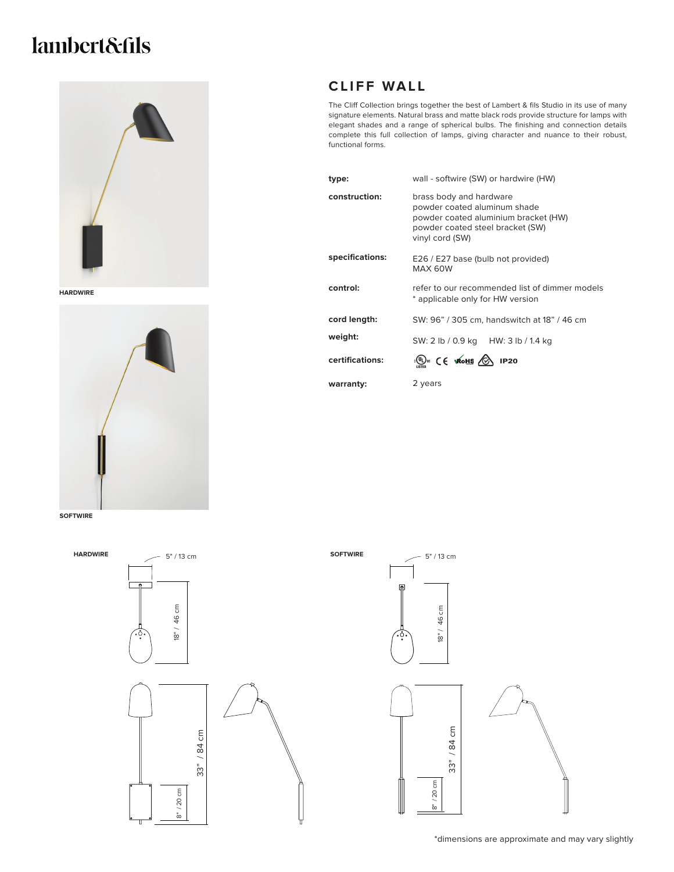## lambert&fils



**HARDWIRE**



**SOFTWIRE**

## **CLIFF WALL**

The Cliff Collection brings together the best of Lambert & fils Studio in its use of many signature elements. Natural brass and matte black rods provide structure for lamps with elegant shades and a range of spherical bulbs. The finishing and connection details complete this full collection of lamps, giving character and nuance to their robust, functional forms.

| type:           | wall - softwire (SW) or hardwire (HW)                                                                                                                  |
|-----------------|--------------------------------------------------------------------------------------------------------------------------------------------------------|
| construction:   | brass body and hardware<br>powder coated aluminum shade<br>powder coated aluminium bracket (HW)<br>powder coated steel bracket (SW)<br>vinyl cord (SW) |
| specifications: | E26 / E27 base (bulb not provided)<br>MAX 60W                                                                                                          |
| control:        | refer to our recommended list of dimmer models<br>* applicable only for HW version                                                                     |
| cord length:    | SW: 96" / 305 cm, handswitch at 18" / 46 cm                                                                                                            |
| weight:         | SW: 2 lb / 0.9 kg HW: 3 lb / 1.4 kg                                                                                                                    |
| certifications: | $\mathbb{Q}$ ( $\in$ whis $\circled{2}$ IP20                                                                                                           |
| warranty:       | 2 years                                                                                                                                                |